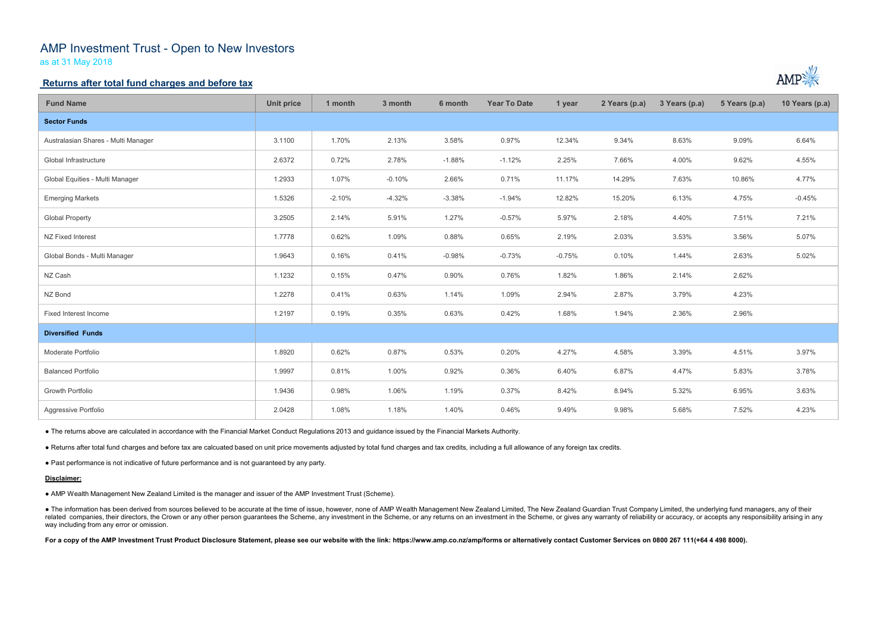# AMP Investment Trust - Open to New Investors

as at 31 May 2018

## **Returns after total fund charges and before tax**

| <b>Fund Name</b>                    | <b>Unit price</b> | 1 month  | 3 month  | 6 month  | <b>Year To Date</b> | 1 year   | 2 Years (p.a) | 3 Years (p.a) | 5 Years (p.a) | 10 Years (p.a) |
|-------------------------------------|-------------------|----------|----------|----------|---------------------|----------|---------------|---------------|---------------|----------------|
| <b>Sector Funds</b>                 |                   |          |          |          |                     |          |               |               |               |                |
| Australasian Shares - Multi Manager | 3.1100            | 1.70%    | 2.13%    | 3.58%    | 0.97%               | 12.34%   | 9.34%         | 8.63%         | 9.09%         | 6.64%          |
| Global Infrastructure               | 2.6372            | 0.72%    | 2.78%    | $-1.88%$ | $-1.12%$            | 2.25%    | 7.66%         | 4.00%         | 9.62%         | 4.55%          |
| Global Equities - Multi Manager     | 1.2933            | 1.07%    | $-0.10%$ | 2.66%    | 0.71%               | 11.17%   | 14.29%        | 7.63%         | 10.86%        | 4.77%          |
| <b>Emerging Markets</b>             | 1.5326            | $-2.10%$ | $-4.32%$ | $-3.38%$ | $-1.94%$            | 12.82%   | 15.20%        | 6.13%         | 4.75%         | $-0.45%$       |
| <b>Global Property</b>              | 3.2505            | 2.14%    | 5.91%    | 1.27%    | $-0.57%$            | 5.97%    | 2.18%         | 4.40%         | 7.51%         | 7.21%          |
| NZ Fixed Interest                   | 1.7778            | 0.62%    | 1.09%    | 0.88%    | 0.65%               | 2.19%    | 2.03%         | 3.53%         | 3.56%         | 5.07%          |
| Global Bonds - Multi Manager        | 1.9643            | 0.16%    | 0.41%    | $-0.98%$ | $-0.73%$            | $-0.75%$ | 0.10%         | 1.44%         | 2.63%         | 5.02%          |
| NZ Cash                             | 1.1232            | 0.15%    | 0.47%    | 0.90%    | 0.76%               | 1.82%    | 1.86%         | 2.14%         | 2.62%         |                |
| NZ Bond                             | 1.2278            | 0.41%    | 0.63%    | 1.14%    | 1.09%               | 2.94%    | 2.87%         | 3.79%         | 4.23%         |                |
| Fixed Interest Income               | 1.2197            | 0.19%    | 0.35%    | 0.63%    | 0.42%               | 1.68%    | 1.94%         | 2.36%         | 2.96%         |                |
| <b>Diversified Funds</b>            |                   |          |          |          |                     |          |               |               |               |                |
| Moderate Portfolio                  | 1.8920            | 0.62%    | 0.87%    | 0.53%    | 0.20%               | 4.27%    | 4.58%         | 3.39%         | 4.51%         | 3.97%          |
| <b>Balanced Portfolio</b>           | 1.9997            | 0.81%    | 1.00%    | 0.92%    | 0.36%               | 6.40%    | 6.87%         | 4.47%         | 5.83%         | 3.78%          |
| <b>Growth Portfolio</b>             | 1.9436            | 0.98%    | 1.06%    | 1.19%    | 0.37%               | 8.42%    | 8.94%         | 5.32%         | 6.95%         | 3.63%          |
| Aggressive Portfolio                | 2.0428            | 1.08%    | 1.18%    | 1.40%    | 0.46%               | 9.49%    | 9.98%         | 5.68%         | 7.52%         | 4.23%          |

● The information has been derived from sources believed to be accurate at the time of issue, however, none of AMP Wealth Management New Zealand Limited, The New Zealand Guardian Trust Company Limited, the underlying fund related companies, their directors, the Crown or any other person guarantees the Scheme, any investment in the Scheme, or any returns on an investment in the Scheme, or gives any warranty of reliability or accuracy, or acc way including from any error or omission.

For a copy of the AMP Investment Trust Product Disclosure Statement, please see our website with the link: https://www.amp.co.nz/amp/forms or alternatively contact Customer Services on 0800 267 111(+64 4 498 8000).



● The returns above are calculated in accordance with the Financial Market Conduct Regulations 2013 and guidance issued by the Financial Markets Authority.

● Returns after total fund charges and before tax are calcuated based on unit price movements adjusted by total fund charges and tax credits, including a full allowance of any foreign tax credits.

● Past performance is not indicative of future performance and is not guaranteed by any party.

### **Disclaimer:**

● AMP Wealth Management New Zealand Limited is the manager and issuer of the AMP Investment Trust (Scheme).